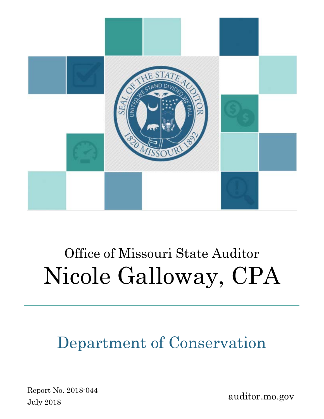

# Office of Missouri State Auditor Nicole Galloway, CPA

## Department of Conservation

Report No. 2018-044 July 2018

auditor.mo.gov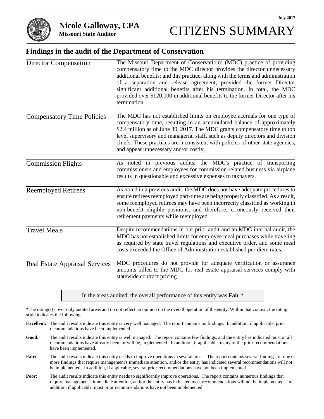

#### **Findings in the audit of the Department of Conservation**

| <b>Director Compensation</b>          | The Missouri Department of Conservation's (MDC) practice of providing<br>compensatory time to the MDC director provides the director unnecessary<br>additional benefits; and this practice, along with the terms and administration<br>of a separation and release agreement, provided the former Director<br>significant additional benefits after his termination. In total, the MDC<br>provided over \$120,000 in additional benefits to the former Director after his<br>termination. |
|---------------------------------------|-------------------------------------------------------------------------------------------------------------------------------------------------------------------------------------------------------------------------------------------------------------------------------------------------------------------------------------------------------------------------------------------------------------------------------------------------------------------------------------------|
| <b>Compensatory Time Policies</b>     | The MDC has not established limits on employee accruals for one type of<br>compensatory time, resulting in an accumulated balance of approximately<br>\$2.4 million as of June 30, 2017. The MDC grants compensatory time to top<br>level supervisory and managerial staff, such as deputy directors and division<br>chiefs. These practices are inconsistent with policies of other state agencies,<br>and appear unnecessary and/or costly.                                             |
| <b>Commission Flights</b>             | As noted in previous audits, the MDC's practice of transporting<br>commissioners and employees for commission-related business via airplane<br>results in questionable and excessive expenses to taxpayers.                                                                                                                                                                                                                                                                               |
| <b>Reemployed Retirees</b>            | As noted in a previous audit, the MDC does not have adequate procedures to<br>ensure retirees reemployed part-time are being properly classified. As a result,<br>some reemployed retirees may have been incorrectly classified as working in<br>non-benefit eligible positions, and therefore, erroneously received their<br>retirement payments while reemployed.                                                                                                                       |
| <b>Travel Meals</b>                   | Despite recommendations in our prior audit and an MDC internal audit, the<br>MDC has not established limits for employee meal purchases while traveling<br>as required by state travel regulations and executive order, and some meal<br>costs exceeded the Office of Administration established per diem rates.                                                                                                                                                                          |
| <b>Real Estate Appraisal Services</b> | MDC procedures do not provide for adequate verification or assurance<br>amounts billed to the MDC for real estate appraisal services comply with<br>statewide contract pricing.                                                                                                                                                                                                                                                                                                           |

In the areas audited, the overall performance of this entity was **Fair**.\*

**\***The rating(s) cover only audited areas and do not reflect an opinion on the overall operation of the entity. Within that context, the rating scale indicates the following:

- **Excellent:** The audit results indicate this entity is very well managed. The report contains no findings. In addition, if applicable, prior recommendations have been implemented.
- **Good:** The audit results indicate this entity is well managed. The report contains few findings, and the entity has indicated most or all recommendations have already been, or will be, implemented. In addition, if applicable, many of the prior recommendations have been implemented.
- Fair: The audit results indicate this entity needs to improve operations in several areas. The report contains several findings, or one or more findings that require management's immediate attention, and/or the entity has indicated several recommendations will not be implemented. In addition, if applicable, several prior recommendations have not been implemented.
- **Poor:** The audit results indicate this entity needs to significantly improve operations. The report contains numerous findings that require management's immediate attention, and/or the entity has indicated most recommendations will not be implemented. In addition, if applicable, most prior recommendations have not been implemented.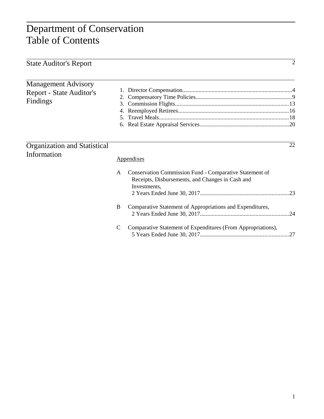## Department of Conservation Table of Contents

| <b>State Auditor's Report</b>                                      |             |                                                                                                                             | $\overline{2}$ |
|--------------------------------------------------------------------|-------------|-----------------------------------------------------------------------------------------------------------------------------|----------------|
| <b>Management Advisory</b><br>Report - State Auditor's<br>Findings | 3.<br>5.    |                                                                                                                             |                |
| <b>Organization and Statistical</b><br>Information                 |             | Appendixes                                                                                                                  | 22             |
|                                                                    | A           | Conservation Commission Fund - Comparative Statement of<br>Receipts, Disbursements, and Changes in Cash and<br>Investments, |                |
|                                                                    | B           | Comparative Statement of Appropriations and Expenditures,                                                                   |                |
|                                                                    | $\mathbf C$ | Comparative Statement of Expenditures (From Appropriations),                                                                | .27            |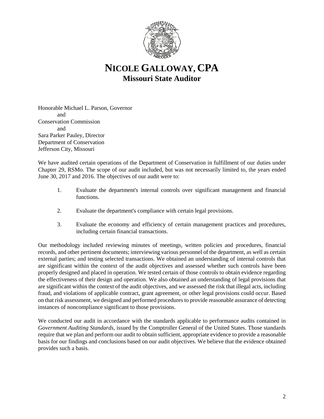

## **NICOLE GALLOWAY, CPA Missouri State Auditor**

Honorable Michael L. Parson, Governor and Conservation Commission and Sara Parker Pauley, Director Department of Conservation Jefferson City, Missouri

We have audited certain operations of the Department of Conservation in fulfillment of our duties under Chapter 29, RSMo. The scope of our audit included, but was not necessarily limited to, the years ended June 30, 2017 and 2016. The objectives of our audit were to:

- 1. Evaluate the department's internal controls over significant management and financial functions.
- 2. Evaluate the department's compliance with certain legal provisions.
- 3. Evaluate the economy and efficiency of certain management practices and procedures, including certain financial transactions.

Our methodology included reviewing minutes of meetings, written policies and procedures, financial records, and other pertinent documents; interviewing various personnel of the department, as well as certain external parties; and testing selected transactions. We obtained an understanding of internal controls that are significant within the context of the audit objectives and assessed whether such controls have been properly designed and placed in operation. We tested certain of those controls to obtain evidence regarding the effectiveness of their design and operation. We also obtained an understanding of legal provisions that are significant within the context of the audit objectives, and we assessed the risk that illegal acts, including fraud, and violations of applicable contract, grant agreement, or other legal provisions could occur. Based on that risk assessment, we designed and performed procedures to provide reasonable assurance of detecting instances of noncompliance significant to those provisions.

We conducted our audit in accordance with the standards applicable to performance audits contained in *Government Auditing Standards*, issued by the Comptroller General of the United States. Those standards require that we plan and perform our audit to obtain sufficient, appropriate evidence to provide a reasonable basis for our findings and conclusions based on our audit objectives. We believe that the evidence obtained provides such a basis.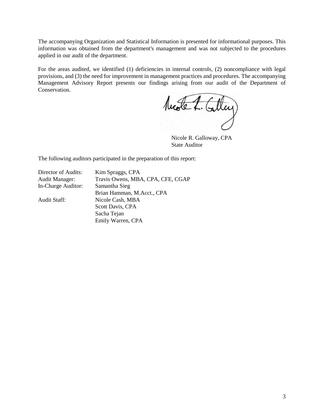The accompanying Organization and Statistical Information is presented for informational purposes. This information was obtained from the department's management and was not subjected to the procedures applied in our audit of the department.

For the areas audited, we identified (1) deficiencies in internal controls, (2) noncompliance with legal provisions, and (3) the need for improvement in management practices and procedures. The accompanying Management Advisory Report presents our findings arising from our audit of the Department of Conservation.

Mode L. Calley

Nicole R. Galloway, CPA State Auditor

The following auditors participated in the preparation of this report:

Director of Audits: Kim Spraggs, CPA

Audit Manager: Travis Owens, MBA, CPA, CFE, CGAP In-Charge Auditor: Samantha Sieg Brian Hamman, M.Acct., CPA Audit Staff: Nicole Cash, MBA Scott Davis, CPA Sacha Tejan Emily Warren, CPA

3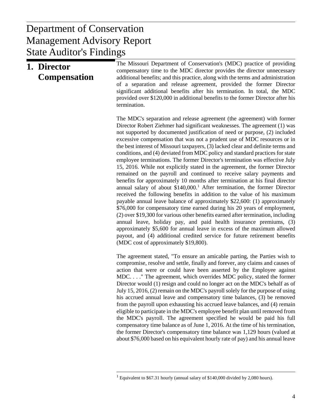## $\mathbf{D}$  anott Management Advisory Report Department of Conservation State Auditor's Findings

| 1. Director<br><b>Compensation</b> | The Missouri Department of Conservation's (MDC) practice of providing<br>compensatory time to the MDC director provides the director unnecessary<br>additional benefits; and this practice, along with the terms and administration<br>of a separation and release agreement, provided the former Director<br>significant additional benefits after his termination. In total, the MDC<br>provided over \$120,000 in additional benefits to the former Director after his<br>termination.                                                                                                                                                                                                                                                                                                                                                                                                                                                                                                                                                                                                                                                                                                                                                                                                                                                                                                                                                                                                           |
|------------------------------------|-----------------------------------------------------------------------------------------------------------------------------------------------------------------------------------------------------------------------------------------------------------------------------------------------------------------------------------------------------------------------------------------------------------------------------------------------------------------------------------------------------------------------------------------------------------------------------------------------------------------------------------------------------------------------------------------------------------------------------------------------------------------------------------------------------------------------------------------------------------------------------------------------------------------------------------------------------------------------------------------------------------------------------------------------------------------------------------------------------------------------------------------------------------------------------------------------------------------------------------------------------------------------------------------------------------------------------------------------------------------------------------------------------------------------------------------------------------------------------------------------------|
|                                    | The MDC's separation and release agreement (the agreement) with former<br>Director Robert Ziehmer had significant weaknesses. The agreement (1) was<br>not supported by documented justification of need or purpose, (2) included<br>excessive compensation that was not a prudent use of MDC resources or in<br>the best interest of Missouri taxpayers, (3) lacked clear and definite terms and<br>conditions, and (4) deviated from MDC policy and standard practices for state<br>employee terminations. The former Director's termination was effective July<br>15, 2016. While not explicitly stated in the agreement, the former Director<br>remained on the payroll and continued to receive salary payments and<br>benefits for approximately 10 months after termination at his final director<br>annual salary of about $$140,000$ . <sup>1</sup> After termination, the former Director<br>received the following benefits in addition to the value of his maximum<br>payable annual leave balance of approximately \$22,600: (1) approximately<br>\$76,000 for compensatory time earned during his 20 years of employment,<br>(2) over \$19,300 for various other benefits earned after termination, including<br>annual leave, holiday pay, and paid health insurance premiums, (3)<br>approximately \$5,600 for annual leave in excess of the maximum allowed<br>payout, and (4) additional credited service for future retirement benefits<br>(MDC cost of approximately \$19,800). |
|                                    | The agreement stated, "To ensure an amicable parting, the Parties wish to<br>compromise, resolve and settle, finally and forever, any claims and causes of<br>action that were or could have been asserted by the Employee against<br>MDC" The agreement, which overrides MDC policy, stated the former<br>Director would (1) resign and could no longer act on the MDC's behalf as of<br>July 15, 2016, (2) remain on the MDC's payroll solely for the purpose of using<br>his accrued annual leave and compensatory time balances, (3) be removed<br>from the payroll upon exhausting his accrued leave balances, and (4) remain<br>eligible to participate in the MDC's employee benefit plan until removed from<br>the MDC's payroll. The agreement specified he would be paid his full<br>compensatory time balance as of June 1, 2016. At the time of his termination,<br>the former Director's compensatory time balance was 1,129 hours (valued at<br>about \$76,000 based on his equivalent hourly rate of pay) and his annual leave                                                                                                                                                                                                                                                                                                                                                                                                                                                       |

<span id="page-5-0"></span><sup>&</sup>lt;sup>1</sup> Equivalent to \$67.31 hourly (annual salary of \$140,000 divided by 2,080 hours).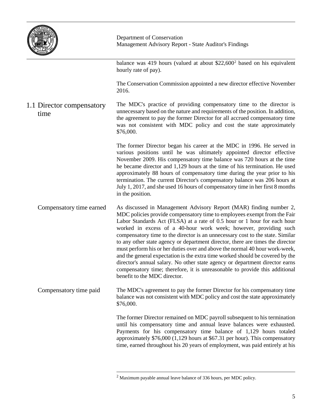

balance was 419 hours (valued at about  $$22,600^2$  $$22,600^2$  $$22,600^2$  based on his equivalent hourly rate of pay).

The Conservation Commission appointed a new director effective November 2016.

The MDC's practice of providing compensatory time to the director is unnecessary based on the nature and requirements of the position. In addition, the agreement to pay the former Director for all accrued compensatory time was not consistent with MDC policy and cost the state approximately \$76,000. 1.1 Director compensatory time

> The former Director began his career at the MDC in 1996. He served in various positions until he was ultimately appointed director effective November 2009. His compensatory time balance was 720 hours at the time he became director and 1,129 hours at the time of his termination. He used approximately 88 hours of compensatory time during the year prior to his termination. The current Director's compensatory balance was 206 hours at July 1, 2017, and she used 16 hours of compensatory time in her first 8 months in the position.

As discussed in Management Advisory Report (MAR) finding number 2, MDC policies provide compensatory time to employees exempt from the Fair Labor Standards Act (FLSA) at a rate of 0.5 hour or 1 hour for each hour worked in excess of a 40-hour work week; however, providing such compensatory time to the director is an unnecessary cost to the state. Similar to any other state agency or department director, there are times the director must perform his or her duties over and above the normal 40 hour work-week, and the general expectation is the extra time worked should be covered by the director's annual salary. No other state agency or department director earns compensatory time; therefore, it is unreasonable to provide this additional benefit to the MDC director. Compensatory time earned

<span id="page-6-0"></span>The MDC's agreement to pay the former Director for his compensatory time balance was not consistent with MDC policy and cost the state approximately \$76,000. Compensatory time paid

> The former Director remained on MDC payroll subsequent to his termination until his compensatory time and annual leave balances were exhausted. Payments for his compensatory time balance of 1,129 hours totaled approximately \$76,000 (1,129 hours at \$67.31 per hour). This compensatory time, earned throughout his 20 years of employment, was paid entirely at his

 $2$  Maximum payable annual leave balance of 336 hours, per MDC policy.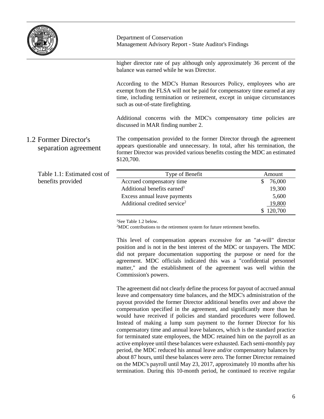

higher director rate of pay although only approximately 36 percent of the balance was earned while he was Director.

According to the MDC's Human Resources Policy, employees who are exempt from the FLSA will not be paid for compensatory time earned at any time, including termination or retirement, except in unique circumstances such as out-of-state firefighting.

Additional concerns with the MDC's compensatory time policies are discussed in MAR finding number 2.

The compensation provided to the former Director through the agreement appears questionable and unnecessary. In total, after his termination, the former Director was provided various benefits costing the MDC an estimated \$120,700. 1.2 Former Director's separation agreement

| Table 1.1: Estimated cost of | Type of Benefit                          | Amount    |
|------------------------------|------------------------------------------|-----------|
| benefits provided            | Accrued compensatory time                | 76,000    |
|                              | Additional benefits earned <sup>1</sup>  | 19,300    |
|                              | Excess annual leave payments             | 5,600     |
|                              | Additional credited service <sup>2</sup> | 19,800    |
|                              |                                          | \$120,700 |

<sup>1</sup>See Table 1.2 below.

 $2MDC$  contributions to the retirement system for future retirement benefits.

This level of compensation appears excessive for an "at-will" director position and is not in the best interest of the MDC or taxpayers. The MDC did not prepare documentation supporting the purpose or need for the agreement. MDC officials indicated this was a "confidential personnel matter," and the establishment of the agreement was well within the Commission's powers.

The agreement did not clearly define the process for payout of accrued annual leave and compensatory time balances, and the MDC's administration of the payout provided the former Director additional benefits over and above the compensation specified in the agreement, and significantly more than he would have received if policies and standard procedures were followed. Instead of making a lump sum payment to the former Director for his compensatory time and annual leave balances, which is the standard practice for terminated state employees, the MDC retained him on the payroll as an active employee until these balances were exhausted. Each semi-monthly pay period, the MDC reduced his annual leave and/or compensatory balances by about 87 hours, until these balances were zero. The former Director remained on the MDC's payroll until May 23, 2017, approximately 10 months after his termination. During this 10-month period, he continued to receive regular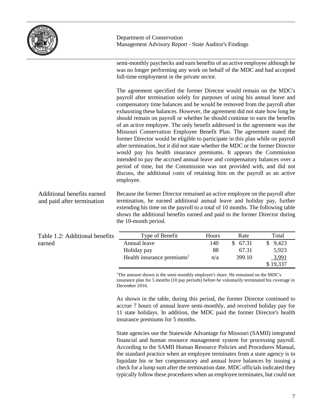

semi-monthly paychecks and earn benefits of an active employee although he was no longer performing any work on behalf of the MDC and had accepted full-time employment in the private sector.

The agreement specified the former Director would remain on the MDC's payroll after termination solely for purposes of using his annual leave and compensatory time balances and he would be removed from the payroll after exhausting these balances. However, the agreement did not state how long he should remain on payroll or whether he should continue to earn the benefits of an active employee. The only benefit addressed in the agreement was the Missouri Conservation Employee Benefit Plan. The agreement stated the former Director would be eligible to participate in this plan while on payroll after termination, but it did not state whether the MDC or the former Director would pay his health insurance premiums. It appears the Commission intended to pay the accrued annual leave and compensatory balances over a period of time, but the Commission was not provided with, and did not discuss, the additional costs of retaining him on the payroll as an active employee.

Because the former Director remained an active employee on the payroll after termination, he earned additional annual leave and holiday pay, further extending his time on the payroll to a total of 10 months. The following table shows the additional benefits earned and paid to the former Director during the 10-month period. Additional benefits earned and paid after termination

| Table 1.2: Additional benefits | Type of Benefit                        | Hours | Rate     | Total    |
|--------------------------------|----------------------------------------|-------|----------|----------|
| earned                         | Annual leave                           | 140   | \$ 67.31 | \$9,423  |
|                                | Holiday pay                            | 88    | 67.31    | 5,923    |
|                                | Health insurance premiums <sup>1</sup> | n/a   | 399.10   | 3,991    |
|                                |                                        |       |          | \$19,337 |

<sup>1</sup>The amount shown is the semi-monthly employer's share. He remained on the MDC's insurance plan for 5 months (10 pay periods) before he voluntarily terminated his coverage in December 2016.

As shown in the table, during this period, the former Director continued to accrue 7 hours of annual leave semi-monthly, and received holiday pay for 11 state holidays. In addition, the MDC paid the former Director's health insurance premiums for 5 months.

State agencies use the Statewide Advantage for Missouri (SAMII) integrated financial and human resource management system for processing payroll. According to the SAMII Human Resource Policies and Procedures Manual, the standard practice when an employee terminates from a state agency is to liquidate his or her compensatory and annual leave balances by issuing a check for a lump sum after the termination date. MDC officials indicated they typically follow these procedures when an employee terminates, but could not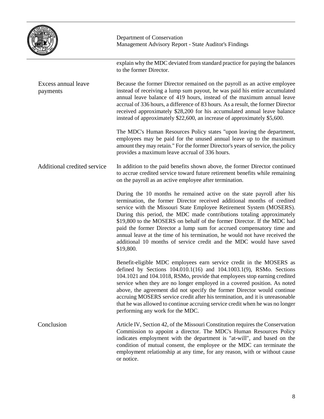| HE STAT<br><b>AD DIVICE</b><br>٠<br><i>ISSOUR</i> |
|---------------------------------------------------|
|---------------------------------------------------|

|                                 | explain why the MDC deviated from standard practice for paying the balances<br>to the former Director.                                                                                                                                                                                                                                                                                                                                                                                                                                                                                                                    |
|---------------------------------|---------------------------------------------------------------------------------------------------------------------------------------------------------------------------------------------------------------------------------------------------------------------------------------------------------------------------------------------------------------------------------------------------------------------------------------------------------------------------------------------------------------------------------------------------------------------------------------------------------------------------|
| Excess annual leave<br>payments | Because the former Director remained on the payroll as an active employee<br>instead of receiving a lump sum payout, he was paid his entire accumulated<br>annual leave balance of 419 hours, instead of the maximum annual leave<br>accrual of 336 hours, a difference of 83 hours. As a result, the former Director<br>received approximately \$28,200 for his accumulated annual leave balance<br>instead of approximately \$22,600, an increase of approximately \$5,600.                                                                                                                                             |
|                                 | The MDC's Human Resources Policy states "upon leaving the department,<br>employees may be paid for the unused annual leave up to the maximum<br>amount they may retain." For the former Director's years of service, the policy<br>provides a maximum leave accrual of 336 hours.                                                                                                                                                                                                                                                                                                                                         |
| Additional credited service     | In addition to the paid benefits shown above, the former Director continued<br>to accrue credited service toward future retirement benefits while remaining<br>on the payroll as an active employee after termination.                                                                                                                                                                                                                                                                                                                                                                                                    |
|                                 | During the 10 months he remained active on the state payroll after his<br>termination, the former Director received additional months of credited<br>service with the Missouri State Employee Retirement System (MOSERS).<br>During this period, the MDC made contributions totaling approximately<br>\$19,800 to the MOSERS on behalf of the former Director. If the MDC had<br>paid the former Director a lump sum for accrued compensatory time and<br>annual leave at the time of his termination, he would not have received the<br>additional 10 months of service credit and the MDC would have saved<br>\$19,800. |
|                                 | Benefit-eligible MDC employees earn service credit in the MOSERS as<br>defined by Sections $104.010.1(16)$ and $104.1003.1(9)$ , RSMo. Sections<br>104.1021 and 104.1018, RSMo, provide that employees stop earning credited<br>service when they are no longer employed in a covered position. As noted<br>above, the agreement did not specify the former Director would continue<br>accruing MOSERS service credit after his termination, and it is unreasonable<br>that he was allowed to continue accruing service credit when he was no longer<br>performing any work for the MDC.                                  |
| Conclusion                      | Article IV, Section 42, of the Missouri Constitution requires the Conservation<br>Commission to appoint a director. The MDC's Human Resources Policy<br>indicates employment with the department is "at-will", and based on the<br>condition of mutual consent, the employee or the MDC can terminate the<br>employment relationship at any time, for any reason, with or without cause<br>or notice.                                                                                                                                                                                                                     |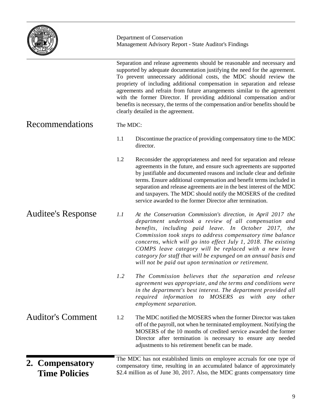

Separation and release agreements should be reasonable and necessary and

supported by adequate documentation justifying the need for the agreement. To prevent unnecessary additional costs, the MDC should review the propriety of including additional compensation in separation and release agreements and refrain from future arrangements similar to the agreement with the former Director. If providing additional compensation and/or benefits is necessary, the terms of the compensation and/or benefits should be clearly detailed in the agreement. The MDC: 1.1 Discontinue the practice of providing compensatory time to the MDC director. 1.2 Reconsider the appropriateness and need for separation and release agreements in the future, and ensure such agreements are supported by justifiable and documented reasons and include clear and definite terms. Ensure additional compensation and benefit terms included in separation and release agreements are in the best interest of the MDC and taxpayers. The MDC should notify the MOSERS of the credited service awarded to the former Director after termination. *1.1 At the Conservation Commission's direction, in April 2017 the department undertook a review of all compensation and benefits, including paid leave. In October 2017, the Commission took steps to address compensatory time balance concerns, which will go into effect July 1, 2018. The existing COMPS leave category will be replaced with a new leave category for staff that will be expunged on an annual basis and will not be paid out upon termination or retirement. 1.2 The Commission believes that the separation and release agreement was appropriate, and the terms and conditions were in the department's best interest. The department provided all required information to MOSERS as with any other employment separation.* 1.2 The MDC notified the MOSERS when the former Director was taken off of the payroll, not when he terminated employment. Notifying the MOSERS of the 10 months of credited service awarded the former Director after termination is necessary to ensure any needed adjustments to his retirement benefit can be made. The MDC has not established limits on employee accruals for one type of compensatory time, resulting in an accumulated balance of approximately \$2.4 million as of June 30, 2017. Also, the MDC grants compensatory time Recommendations Auditee's Response Auditor's Comment **2. Compensatory Time Policies**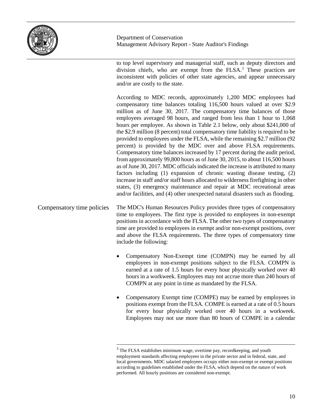

to top level supervisory and managerial staff, such as deputy directors and division chiefs, who are exempt from the FLSA. [3](#page-11-0) These practices are inconsistent with policies of other state agencies, and appear unnecessary and/or are costly to the state.

According to MDC records, approximately 1,200 MDC employees had compensatory time balances totaling 116,500 hours valued at over \$2.9 million as of June 30, 2017. The compensatory time balances of those employees averaged 98 hours, and ranged from less than 1 hour to 1,068 hours per employee. As shown in Table 2.1 below, only about \$241,000 of the \$2.9 million (8 percent) total compensatory time liability is required to be provided to employees under the FLSA, while the remaining \$2.7 million (92 percent) is provided by the MDC over and above FLSA requirements. Compensatory time balances increased by 17 percent during the audit period, from approximately 99,800 hours as of June 30, 2015, to about 116,500 hours as of June 30, 2017. MDC officials indicated the increase is attributed to many factors including (1) expansion of chronic wasting disease testing, (2) increase in staff and/or staff hours allocated to wilderness firefighting in other states, (3) emergency maintenance and repair at MDC recreational areas and/or facilities, and (4) other unexpected natural disasters such as flooding.

The MDC's Human Resources Policy provides three types of compensatory time to employees. The first type is provided to employees in non-exempt positions in accordance with the FLSA. The other two types of compensatory time are provided to employees in exempt and/or non-exempt positions, over and above the FLSA requirements. The three types of compensatory time include the following: Compensatory time policies

- Compensatory Non-Exempt time (COMPN) may be earned by all employees in non-exempt positions subject to the FLSA. COMPN is earned at a rate of 1.5 hours for every hour physically worked over 40 hours in a workweek. Employees may not accrue more than 240 hours of COMPN at any point in time as mandated by the FLSA.
- Compensatory Exempt time (COMPE) may be earned by employees in positions exempt from the FLSA. COMPE is earned at a rate of 0.5 hours for every hour physically worked over 40 hours in a workweek. Employees may not use more than 80 hours of COMPE in a calendar

<span id="page-11-0"></span> $3$  The FLSA establishes minimum wage, overtime pay, recordkeeping, and youth employment standards affecting employees in the private sector and in federal, state, and local governments. MDC salaried employees occupy either non-exempt or exempt positions according to guidelines established under the FLSA, which depend on the nature of work performed. All hourly positions are considered non-exempt.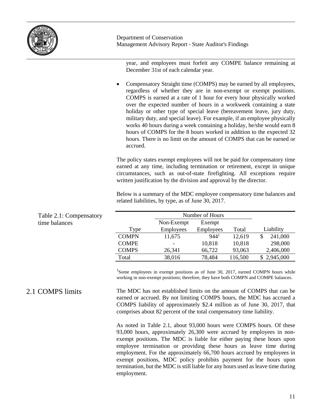

2.1 COMPS limits

Department of Conservation Management Advisory Report - State Auditor's Findings

year, and employees must forfeit any COMPE balance remaining at December 31st of each calendar year.

• Compensatory Straight time (COMPS) may be earned by all employees, regardless of whether they are in non-exempt or exempt positions. COMPS is earned at a rate of 1 hour for every hour physically worked over the expected number of hours in a workweek containing a state holiday or other type of special leave (bereavement leave, jury duty, military duty, and special leave). For example, if an employee physically works 40 hours during a week containing a holiday, he/she would earn 8 hours of COMPS for the 8 hours worked in addition to the expected 32 hours. There is no limit on the amount of COMPS that can be earned or accrued.

The policy states exempt employees will not be paid for compensatory time earned at any time, including termination or retirement, except in unique circumstances, such as out-of-state firefighting. All exceptions require written justification by the division and approval by the director.

Below is a summary of the MDC employee compensatory time balances and related liabilities, by type, as of June 30, 2017.

| Table 2.1: Compensatory |              |                  | Number of Hours  |         |             |
|-------------------------|--------------|------------------|------------------|---------|-------------|
| time balances           |              | Non-Exempt       | Exempt           |         |             |
|                         | Type         | <b>Employees</b> | <b>Employees</b> | Total   | Liability   |
|                         | <b>COMPN</b> | 11,675           | 944 <sup>1</sup> | 12,619  | 241,000     |
|                         | <b>COMPE</b> |                  | 10,818           | 10,818  | 298,000     |
|                         | <b>COMPS</b> | 26,341           | 66,722           | 93,063  | 2,406,000   |
|                         | Total        | 38,016           | 78,484           | 116,500 | \$2,945,000 |

<sup>1</sup>Some employees in exempt positions as of June 30, 2017, earned COMPN hours while working in non-exempt positions; therefore, they have both COMPN and COMPE balances.

The MDC has not established limits on the amount of COMPS that can be earned or accrued. By not limiting COMPS hours, the MDC has accrued a COMPS liability of approximately \$2.4 million as of June 30, 2017, that comprises about 82 percent of the total compensatory time liability.

As noted in Table 2.1, about 93,000 hours were COMPS hours. Of these 93,000 hours, approximately 26,300 were accrued by employees in nonexempt positions. The MDC is liable for either paying these hours upon employee termination or providing these hours as leave time during employment. For the approximately 66,700 hours accrued by employees in exempt positions, MDC policy prohibits payment for the hours upon termination, but the MDC is still liable for any hours used as leave time during employment.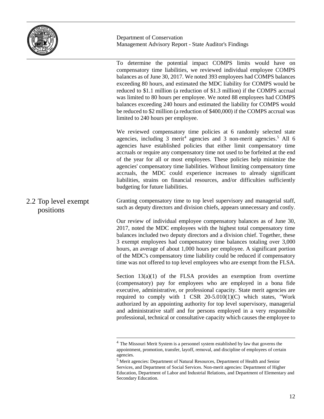

To determine the potential impact COMPS limits would have on compensatory time liabilities, we reviewed individual employee COMPS balances as of June 30, 2017. We noted 393 employees had COMPS balances exceeding 80 hours, and estimated the MDC liability for COMPS would be reduced to \$1.1 million (a reduction of \$1.3 million) if the COMPS accrual was limited to 80 hours per employee. We noted 88 employees had COMPS balances exceeding 240 hours and estimated the liability for COMPS would be reduced to \$2 million (a reduction of \$400,000) if the COMPS accrual was limited to 240 hours per employee.

We reviewed compensatory time policies at 6 randomly selected state agencies, including 3 merit<sup>4</sup> agencies and 3 non-merit agencies.<sup>[5](#page-13-1)</sup> All 6 agencies have established policies that either limit compensatory time accruals or require any compensatory time not used to be forfeited at the end of the year for all or most employees. These policies help minimize the agencies' compensatory time liabilities. Without limiting compensatory time accruals, the MDC could experience increases to already significant liabilities, strains on financial resources, and/or difficulties sufficiently budgeting for future liabilities.

Granting compensatory time to top level supervisory and managerial staff, such as deputy directors and division chiefs, appears unnecessary and costly. 2.2 Top level exempt positions

> Our review of individual employee compensatory balances as of June 30, 2017, noted the MDC employees with the highest total compensatory time balances included two deputy directors and a division chief. Together, these 3 exempt employees had compensatory time balances totaling over 3,000 hours, an average of about 1,000 hours per employee. A significant portion of the MDC's compensatory time liability could be reduced if compensatory time was not offered to top level employees who are exempt from the FLSA.

> Section  $13(a)(1)$  of the FLSA provides an exemption from overtime (compensatory) pay for employees who are employed in a bona fide executive, administrative, or professional capacity. State merit agencies are required to comply with  $1$  CSR  $20-5.010(1)(C)$  which states, "Work authorized by an appointing authority for top level supervisory, managerial and administrative staff and for persons employed in a very responsible professional, technical or consultative capacity which causes the employee to

<span id="page-13-0"></span><sup>&</sup>lt;sup>4</sup> The Missouri Merit System is a personnel system established by law that governs the appointment, promotion, transfer, layoff, removal, and discipline of employees of certain

<span id="page-13-1"></span> $<sup>5</sup>$  Merit agencies: Department of Natural Resources, Department of Health and Senior</sup> Services, and Department of Social Services. Non-merit agencies: Department of Higher Education, Department of Labor and Industrial Relations, and Department of Elementary and Secondary Education.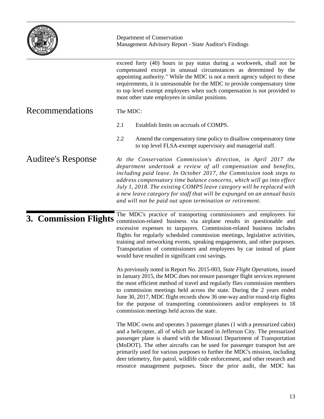|                           | Department of Conservation<br>Management Advisory Report - State Auditor's Findings                                                                                                                                                                                                                                                                                                                                                                                                                                                                     |  |
|---------------------------|---------------------------------------------------------------------------------------------------------------------------------------------------------------------------------------------------------------------------------------------------------------------------------------------------------------------------------------------------------------------------------------------------------------------------------------------------------------------------------------------------------------------------------------------------------|--|
|                           | exceed forty (40) hours in pay status during a workweek, shall not be<br>compensated except in unusual circumstances as determined by the<br>appointing authority." While the MDC is not a merit agency subject to these<br>requirements, it is unreasonable for the MDC to provide compensatory time<br>to top level exempt employees when such compensation is not provided to<br>most other state employees in similar positions.                                                                                                                    |  |
| Recommendations           | The MDC:                                                                                                                                                                                                                                                                                                                                                                                                                                                                                                                                                |  |
|                           | 2.1<br>Establish limits on accruals of COMPS.                                                                                                                                                                                                                                                                                                                                                                                                                                                                                                           |  |
|                           | 2.2<br>Amend the compensatory time policy to disallow compensatory time<br>to top level FLSA-exempt supervisory and managerial staff.                                                                                                                                                                                                                                                                                                                                                                                                                   |  |
| <b>Auditee's Response</b> | At the Conservation Commission's direction, in April 2017 the<br>department undertook a review of all compensation and benefits,<br>including paid leave. In October 2017, the Commission took steps to<br>address compensatory time balance concerns, which will go into effect<br>July 1, 2018. The existing COMPS leave category will be replaced with<br>a new leave category for staff that will be expunged on an annual basis<br>and will not be paid out upon termination or retirement.                                                        |  |
| 3. Commission Flights     | The MDC's practice of transporting commissioners and employees for<br>commission-related business via airplane results in questionable and<br>excessive expenses to taxpayers. Commission-related business includes<br>flights for regularly scheduled commission meetings, legislative activities,<br>training and networking events, speaking engagements, and other purposes.<br>Transportation of commissioners and employees by car instead of plane<br>would have resulted in significant cost savings.                                           |  |
|                           | As previously noted in Report No. 2015-003, State Flight Operations, issued<br>in January 2015, the MDC does not ensure passenger flight services represent<br>the most efficient method of travel and regularly flies commission members<br>to commission meetings held across the state. During the 2 years ended<br>June 30, 2017, MDC flight records show 36 one-way and/or round-trip flights<br>for the purpose of transporting commissioners and/or employees to 18<br>commission meetings held across the state.                                |  |
|                           | The MDC owns and operates 3 passenger planes (1 with a pressurized cabin)<br>and a helicopter, all of which are located in Jefferson City. The pressurized<br>passenger plane is shared with the Missouri Department of Transportation<br>(MoDOT). The other aircrafts can be used for passenger transport but are<br>primarily used for various purposes to further the MDC's mission, including<br>deer telemetry, fire patrol, wildlife code enforcement, and other research and<br>resource management purposes. Since the prior audit, the MDC has |  |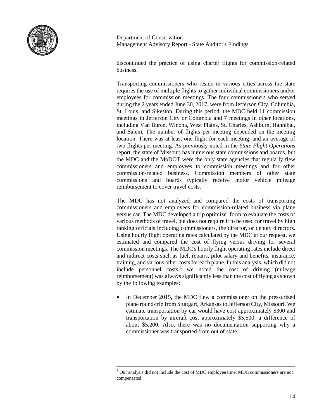

discontinued the practice of using charter flights for commission-related business.

Transporting commissioners who reside in various cities across the state requires the use of multiple flights to gather individual commissioners and/or employees for commission meetings. The four commissioners who served during the 2 years ended June 30, 2017, were from Jefferson City, Columbia, St. Louis, and Sikeston. During this period, the MDC held 11 commission meetings in Jefferson City or Columbia and 7 meetings in other locations, including Van Buren, Winona, West Plains, St. Charles, Ashburn, Hannibal, and Salem. The number of flights per meeting depended on the meeting location. There was at least one flight for each meeting, and an average of two flights per meeting. As previously noted in the *State Flight Operations* report, the state of Missouri has numerous state commissions and boards, but the MDC and the MoDOT were the only state agencies that regularly flew commissioners and employees to commission meetings and for other commission-related business. Commission members of other state commissions and boards typically receive motor vehicle mileage reimbursement to cover travel costs.

The MDC has not analyzed and compared the costs of transporting commissioners and employees for commission-related business via plane versus car. The MDC developed a trip optimizer form to evaluate the costs of various methods of travel, but does not require it to be used for travel by high ranking officials including commissioners, the director, or deputy directors. Using hourly flight operating rates calculated by the MDC at our request, we estimated and compared the cost of flying versus driving for several commission meetings. The MDC's hourly flight operating rates include direct and indirect costs such as fuel, repairs, pilot salary and benefits, insurance, training, and various other costs for each plane. In this analysis, which did not include personnel costs, [6](#page-15-0) we noted the cost of driving (mileage reimbursement) was always significantly less than the cost of flying as shown by the following examples:

In December 2015, the MDC flew a commissioner on the pressurized plane round-trip from Stuttgart, Arkansas to Jefferson City, Missouri. We estimate transportation by car would have cost approximately \$300 and transportation by aircraft cost approximately \$5,500, a difference of about \$5,200. Also, there was no documentation supporting why a commissioner was transported from out of state.

<span id="page-15-0"></span> $6$  Our analysis did not include the cost of MDC employee time. MDC commissioners are not compensated.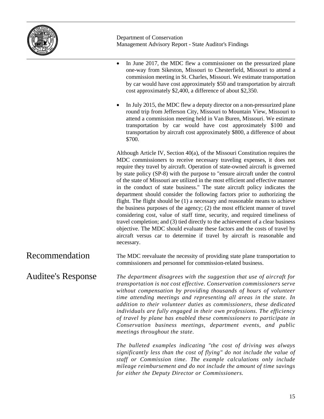

• In June 2017, the MDC flew a commissioner on the pressurized plane one-way from Sikeston, Missouri to Chesterfield, Missouri to attend a commission meeting in St. Charles, Missouri. We estimate transportation by car would have cost approximately \$50 and transportation by aircraft cost approximately \$2,400, a difference of about \$2,350. • In July 2015, the MDC flew a deputy director on a non-pressurized plane round trip from Jefferson City, Missouri to Mountain View, Missouri to attend a commission meeting held in Van Buren, Missouri. We estimate transportation by car would have cost approximately \$100 and transportation by aircraft cost approximately \$800, a difference of about \$700. Although Article IV, Section 40(a), of the Missouri Constitution requires the MDC commissioners to receive necessary traveling expenses, it does not require they travel by aircraft. Operation of state-owned aircraft is governed by state policy (SP-8) with the purpose to "ensure aircraft under the control of the state of Missouri are utilized in the most efficient and effective manner in the conduct of state business." The state aircraft policy indicates the department should consider the following factors prior to authorizing the flight. The flight should be (1) a necessary and reasonable means to achieve the business purposes of the agency; (2) the most efficient manner of travel considering cost, value of staff time, security, and required timeliness of travel completion; and (3) tied directly to the achievement of a clear business objective. The MDC should evaluate these factors and the costs of travel by aircraft versus car to determine if travel by aircraft is reasonable and necessary. The MDC reevaluate the necessity of providing state plane transportation to commissioners and personnel for commission-related business. *The department disagrees with the suggestion that use of aircraft for transportation is not cost effective. Conservation commissioners serve without compensation by providing thousands of hours of volunteer time attending meetings and representing all areas in the state. In addition to their volunteer duties as commissioners, these dedicated individuals are fully engaged in their own professions. The efficiency of travel by plane has enabled these commissioners to participate in Conservation business meetings, department events, and public*  Recommendation Auditee's Response

*meetings throughout the state.*

*The bulleted examples indicating "the cost of driving was always significantly less than the cost of flying" do not include the value of staff or Commission time. The example calculations only include mileage reimbursement and do not include the amount of time savings for either the Deputy Director or Commissioners.*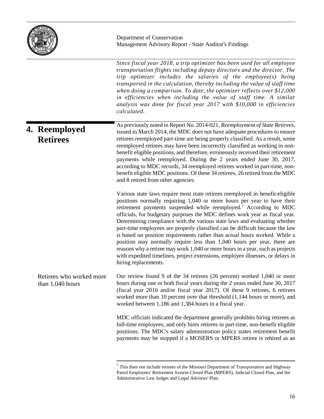

|                                                | Since fiscal year 2018, a trip optimizer has been used for all employee<br>transportation flights including deputy directors and the director. The<br>trip optimizer includes the salaries of the employee(s) being<br>transported in the calculation, thereby including the value of staff time<br>when doing a comparison. To date, the optimizer reflects over \$12,000<br>in efficiencies when including the value of staff time. A similar<br>analysis was done for fiscal year 2017 with \$10,000 in efficiencies<br>calculated.                                                                                                                                                                                                                                                                                                     |
|------------------------------------------------|--------------------------------------------------------------------------------------------------------------------------------------------------------------------------------------------------------------------------------------------------------------------------------------------------------------------------------------------------------------------------------------------------------------------------------------------------------------------------------------------------------------------------------------------------------------------------------------------------------------------------------------------------------------------------------------------------------------------------------------------------------------------------------------------------------------------------------------------|
| 4. Reemployed<br><b>Retirees</b>               | As previously noted in Report No. 2014-021, Reemployment of State Retirees,<br>issued in March 2014, the MDC does not have adequate procedures to ensure<br>retirees reemployed part-time are being properly classified. As a result, some<br>reemployed retirees may have been incorrectly classified as working in non-<br>benefit eligible positions, and therefore, erroneously received their retirement<br>payments while reemployed. During the 2 years ended June 30, 2017,<br>according to MDC records, 34 reemployed retirees worked in part-time, non-<br>benefit eligible MDC positions. Of these 34 retirees, 26 retired from the MDC<br>and 8 retired from other agencies.                                                                                                                                                   |
|                                                | Various state laws require most state retirees reemployed in benefit-eligible<br>positions normally requiring 1,040 or more hours per year to have their<br>retirement payments suspended while reemployed. <sup>7</sup> According to MDC<br>officials, for budgetary purposes the MDC defines work year as fiscal year.<br>Determining compliance with the various state laws and evaluating whether<br>part-time employees are properly classified can be difficult because the law<br>is based on position requirements rather than actual hours worked. While a<br>position may normally require less than 1,040 hours per year, there are<br>reasons why a retiree may work 1,040 or more hours in a year, such as projects<br>with expedited timelines, project extensions, employee illnesses, or delays in<br>hiring replacements. |
| Retirees who worked more<br>than $1,040$ hours | Our review found 9 of the 34 retirees (26 percent) worked 1,040 or more<br>hours during one or both fiscal years during the 2 years ended June 30, 2017<br>(fiscal year 2016 and/or fiscal year 2017). Of these 9 retirees, 6 retirees<br>worked more than 10 percent over that threshold (1,144 hours or more), and<br>worked between 1,186 and 1,384 hours in a fiscal year.                                                                                                                                                                                                                                                                                                                                                                                                                                                             |
|                                                | MDC officials indicated the department generally prohibits hiring retirees as<br>full-time employees, and only hires retirees in part-time, non-benefit eligible<br>positions. The MDC's salary administration policy states retirement benefit<br>payments may be stopped if a MOSERS or MPERS retiree is rehired as an                                                                                                                                                                                                                                                                                                                                                                                                                                                                                                                   |

<span id="page-17-0"></span> $^7$  This does not include retirees of the Missouri Department of Transportation and Highway Patrol Employees' Retirement System Closed Plan (MPERS), Judicial Closed Plan, and the Administrative Law Judges and Legal Advisors' Plan.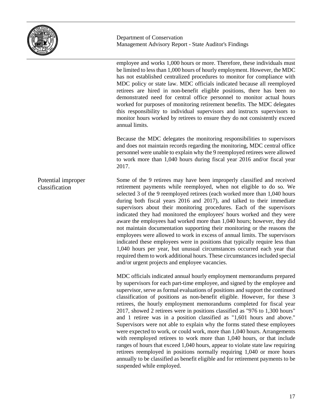

employee and works 1,000 hours or more. Therefore, these individuals must be limited to less than 1,000 hours of hourly employment. However, the MDC has not established centralized procedures to monitor for compliance with MDC policy or state law. MDC officials indicated because all reemployed retirees are hired in non-benefit eligible positions, there has been no demonstrated need for central office personnel to monitor actual hours worked for purposes of monitoring retirement benefits. The MDC delegates this responsibility to individual supervisors and instructs supervisors to monitor hours worked by retirees to ensure they do not consistently exceed annual limits.

Because the MDC delegates the monitoring responsibilities to supervisors and does not maintain records regarding the monitoring, MDC central office personnel were unable to explain why the 9 reemployed retirees were allowed to work more than 1,040 hours during fiscal year 2016 and/or fiscal year 2017.

Some of the 9 retirees may have been improperly classified and received retirement payments while reemployed, when not eligible to do so. We selected 3 of the 9 reemployed retirees (each worked more than 1,040 hours during both fiscal years 2016 and 2017), and talked to their immediate supervisors about their monitoring procedures. Each of the supervisors indicated they had monitored the employees' hours worked and they were aware the employees had worked more than 1,040 hours; however, they did not maintain documentation supporting their monitoring or the reasons the employees were allowed to work in excess of annual limits. The supervisors indicated these employees were in positions that typically require less than 1,040 hours per year, but unusual circumstances occurred each year that required them to work additional hours. These circumstances included special and/or urgent projects and employee vacancies. Potential improper classification

> MDC officials indicated annual hourly employment memorandums prepared by supervisors for each part-time employee, and signed by the employee and supervisor, serve as formal evaluations of positions and support the continued classification of positions as non-benefit eligible. However, for these 3 retirees, the hourly employment memorandums completed for fiscal year 2017, showed 2 retirees were in positions classified as "976 to 1,300 hours" and 1 retiree was in a position classified as "1,601 hours and above." Supervisors were not able to explain why the forms stated these employees were expected to work, or could work, more than 1,040 hours. Arrangements with reemployed retirees to work more than 1,040 hours, or that include ranges of hours that exceed 1,040 hours, appear to violate state law requiring retirees reemployed in positions normally requiring 1,040 or more hours annually to be classified as benefit eligible and for retirement payments to be suspended while employed.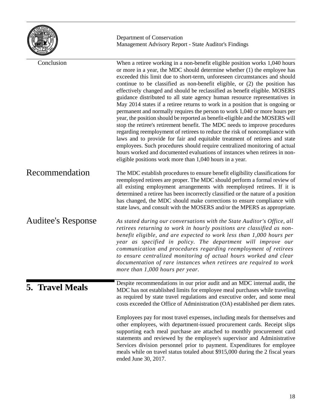|                           | Department of Conservation<br>Management Advisory Report - State Auditor's Findings                                                                                                                                                                                                                                                                                                                                                                                                                                                                                                                                                                                                                                                                                                                                                                                                                                                                                                                                                                                                                                                                                                                |
|---------------------------|----------------------------------------------------------------------------------------------------------------------------------------------------------------------------------------------------------------------------------------------------------------------------------------------------------------------------------------------------------------------------------------------------------------------------------------------------------------------------------------------------------------------------------------------------------------------------------------------------------------------------------------------------------------------------------------------------------------------------------------------------------------------------------------------------------------------------------------------------------------------------------------------------------------------------------------------------------------------------------------------------------------------------------------------------------------------------------------------------------------------------------------------------------------------------------------------------|
| Conclusion                | When a retiree working in a non-benefit eligible position works 1,040 hours<br>or more in a year, the MDC should determine whether (1) the employee has<br>exceeded this limit due to short-term, unforeseen circumstances and should<br>continue to be classified as non-benefit eligible, or (2) the position has<br>effectively changed and should be reclassified as benefit eligible. MOSERS<br>guidance distributed to all state agency human resource representatives in<br>May 2014 states if a retiree returns to work in a position that is ongoing or<br>permanent and normally requires the person to work 1,040 or more hours per<br>year, the position should be reported as benefit-eligible and the MOSERS will<br>stop the retiree's retirement benefit. The MDC needs to improve procedures<br>regarding reemployment of retirees to reduce the risk of noncompliance with<br>laws and to provide for fair and equitable treatment of retirees and state<br>employees. Such procedures should require centralized monitoring of actual<br>hours worked and documented evaluations of instances when retirees in non-<br>eligible positions work more than 1,040 hours in a year. |
| Recommendation            | The MDC establish procedures to ensure benefit eligibility classifications for<br>reemployed retirees are proper. The MDC should perform a formal review of<br>all existing employment arrangements with reemployed retirees. If it is<br>determined a retiree has been incorrectly classified or the nature of a position<br>has changed, the MDC should make corrections to ensure compliance with<br>state laws, and consult with the MOSERS and/or the MPERS as appropriate.                                                                                                                                                                                                                                                                                                                                                                                                                                                                                                                                                                                                                                                                                                                   |
| <b>Auditee's Response</b> | As stated during our conversations with the State Auditor's Office, all<br>retirees returning to work in hourly positions are classified as non-<br>benefit eligible, and are expected to work less than 1,000 hours per<br>year as specified in policy. The department will improve our<br>communication and procedures regarding reemployment of retirees<br>to ensure centralized monitoring of actual hours worked and clear<br>documentation of rare instances when retirees are required to work<br>more than 1,000 hours per year.                                                                                                                                                                                                                                                                                                                                                                                                                                                                                                                                                                                                                                                          |
| <b>5. Travel Meals</b>    | Despite recommendations in our prior audit and an MDC internal audit, the<br>MDC has not established limits for employee meal purchases while traveling<br>as required by state travel regulations and executive order, and some meal<br>costs exceeded the Office of Administration (OA) established per diem rates.                                                                                                                                                                                                                                                                                                                                                                                                                                                                                                                                                                                                                                                                                                                                                                                                                                                                              |
|                           | Employees pay for most travel expenses, including meals for themselves and<br>other employees, with department-issued procurement cards. Receipt slips<br>supporting each meal purchase are attached to monthly procurement card<br>statements and reviewed by the employee's supervisor and Administrative<br>Services division personnel prior to payment. Expenditures for employee<br>meals while on travel status totaled about \$915,000 during the 2 fiscal years<br>ended June 30, 2017.                                                                                                                                                                                                                                                                                                                                                                                                                                                                                                                                                                                                                                                                                                   |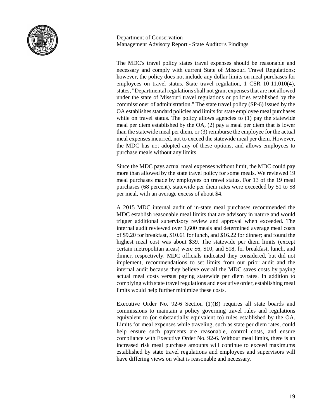

The MDC's travel policy states travel expenses should be reasonable and necessary and comply with current State of Missouri Travel Regulations; however, the policy does not include any dollar limits on meal purchases for employees on travel status. State travel regulation, 1 CSR 10-11.010(4), states, "Departmental regulations shall not grant expenses that are not allowed under the state of Missouri travel regulations or policies established by the commissioner of administration." The state travel policy (SP-6) issued by the OA establishes standard policies and limits for state employee meal purchases while on travel status. The policy allows agencies to (1) pay the statewide meal per diem established by the OA, (2) pay a meal per diem that is lower than the statewide meal per diem, or (3) reimburse the employee for the actual meal expenses incurred, not to exceed the statewide meal per diem. However, the MDC has not adopted any of these options, and allows employees to purchase meals without any limits.

Since the MDC pays actual meal expenses without limit, the MDC could pay more than allowed by the state travel policy for some meals. We reviewed 19 meal purchases made by employees on travel status. For 13 of the 19 meal purchases (68 percent), statewide per diem rates were exceeded by \$1 to \$8 per meal, with an average excess of about \$4.

A 2015 MDC internal audit of in-state meal purchases recommended the MDC establish reasonable meal limits that are advisory in nature and would trigger additional supervisory review and approval when exceeded. The internal audit reviewed over 1,600 meals and determined average meal costs of \$9.20 for breakfast, \$10.61 for lunch, and \$16.22 for dinner; and found the highest meal cost was about \$39. The statewide per diem limits (except certain metropolitan areas) were \$6, \$10, and \$18, for breakfast, lunch, and dinner, respectively. MDC officials indicated they considered, but did not implement, recommendations to set limits from our prior audit and the internal audit because they believe overall the MDC saves costs by paying actual meal costs versus paying statewide per diem rates. In addition to complying with state travel regulations and executive order, establishing meal limits would help further minimize these costs.

Executive Order No. 92-6 Section (1)(B) requires all state boards and commissions to maintain a policy governing travel rules and regulations equivalent to (or substantially equivalent to) rules established by the OA. Limits for meal expenses while traveling, such as state per diem rates, could help ensure such payments are reasonable, control costs, and ensure compliance with Executive Order No. 92-6. Without meal limits, there is an increased risk meal purchase amounts will continue to exceed maximums established by state travel regulations and employees and supervisors will have differing views on what is reasonable and necessary.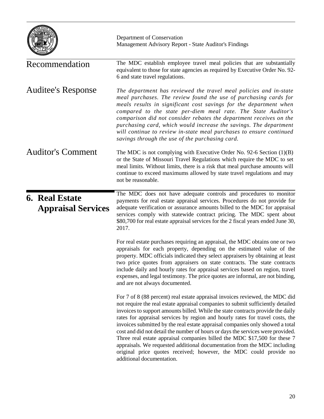|                                                    | Department of Conservation<br>Management Advisory Report - State Auditor's Findings                                                                                                                                                                                                                                                                                                                                                                                                                                                                                                                                                                                                                                                                                |
|----------------------------------------------------|--------------------------------------------------------------------------------------------------------------------------------------------------------------------------------------------------------------------------------------------------------------------------------------------------------------------------------------------------------------------------------------------------------------------------------------------------------------------------------------------------------------------------------------------------------------------------------------------------------------------------------------------------------------------------------------------------------------------------------------------------------------------|
| Recommendation                                     | The MDC establish employee travel meal policies that are substantially<br>equivalent to those for state agencies as required by Executive Order No. 92-<br>6 and state travel regulations.                                                                                                                                                                                                                                                                                                                                                                                                                                                                                                                                                                         |
| <b>Auditee's Response</b>                          | The department has reviewed the travel meal policies and in-state<br>meal purchases. The review found the use of purchasing cards for<br>meals results in significant cost savings for the department when<br>compared to the state per-diem meal rate. The State Auditor's<br>comparison did not consider rebates the department receives on the<br>purchasing card, which would increase the savings. The department<br>will continue to review in-state meal purchases to ensure continued<br>savings through the use of the purchasing card.                                                                                                                                                                                                                   |
| <b>Auditor's Comment</b>                           | The MDC is not complying with Executive Order No. 92-6 Section $(1)(B)$<br>or the State of Missouri Travel Regulations which require the MDC to set<br>meal limits. Without limits, there is a risk that meal purchase amounts will<br>continue to exceed maximums allowed by state travel regulations and may<br>not be reasonable.                                                                                                                                                                                                                                                                                                                                                                                                                               |
| <b>6. Real Estate</b><br><b>Appraisal Services</b> | The MDC does not have adequate controls and procedures to monitor<br>payments for real estate appraisal services. Procedures do not provide for<br>adequate verification or assurance amounts billed to the MDC for appraisal<br>services comply with statewide contract pricing. The MDC spent about<br>\$80,700 for real estate appraisal services for the 2 fiscal years ended June 30,<br>2017.                                                                                                                                                                                                                                                                                                                                                                |
|                                                    | For real estate purchases requiring an appraisal, the MDC obtains one or two<br>appraisals for each property, depending on the estimated value of the<br>property. MDC officials indicated they select appraisers by obtaining at least<br>two price quotes from appraisers on state contracts. The state contracts<br>include daily and hourly rates for appraisal services based on region, travel<br>expenses, and legal testimony. The price quotes are informal, are not binding,<br>and are not always documented.                                                                                                                                                                                                                                           |
|                                                    | For 7 of 8 (88 percent) real estate appraisal invoices reviewed, the MDC did<br>not require the real estate appraisal companies to submit sufficiently detailed<br>invoices to support amounts billed. While the state contracts provide the daily<br>rates for appraisal services by region and hourly rates for travel costs, the<br>invoices submitted by the real estate appraisal companies only showed a total<br>cost and did not detail the number of hours or days the services were provided.<br>Three real estate appraisal companies billed the MDC \$17,500 for these 7<br>appraisals. We requested additional documentation from the MDC including<br>original price quotes received; however, the MDC could provide no<br>additional documentation. |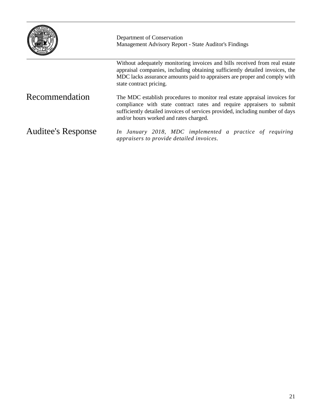|                           | Department of Conservation<br>Management Advisory Report - State Auditor's Findings                                                                                                                                                                                            |  |  |  |
|---------------------------|--------------------------------------------------------------------------------------------------------------------------------------------------------------------------------------------------------------------------------------------------------------------------------|--|--|--|
|                           | Without adequately monitoring invoices and bills received from real estate<br>appraisal companies, including obtaining sufficiently detailed invoices, the<br>MDC lacks assurance amounts paid to appraisers are proper and comply with<br>state contract pricing.             |  |  |  |
| Recommendation            | The MDC establish procedures to monitor real estate appraisal invoices for<br>compliance with state contract rates and require appraisers to submit<br>sufficiently detailed invoices of services provided, including number of days<br>and/or hours worked and rates charged. |  |  |  |
| <b>Auditee's Response</b> | In January 2018, MDC implemented a practice of requiring<br>appraisers to provide detailed invoices.                                                                                                                                                                           |  |  |  |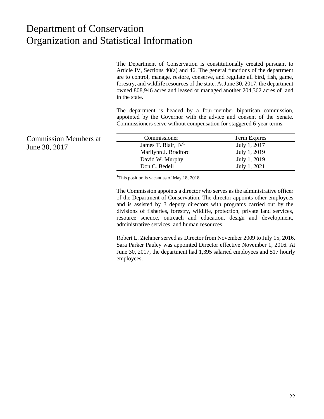#### $int_0^x$ Organization and Statistical Information Organization and Statistical InformationDepartment of Conservation

The Department of Conservation is constitutionally created pursuant to Article IV, Sections 40(a) and 46. The general functions of the department are to control, manage, restore, conserve, and regulate all bird, fish, game, forestry, and wildlife resources of the state. At June 30, 2017, the department owned 808,946 acres and leased or managed another 204,362 acres of land in the state.

The department is headed by a four-member bipartisan commission, appointed by the Governor with the advice and consent of the Senate. Commissioners serve without compensation for staggered 6-year terms.

Commission Members at Commissioner Term Expires James T. Blair,  $IV^1$  July 1, 2017 Marilynn J. Bradford July 1, 2019 David W. Murphy July 1, 2019 Don C. Bedell July 1, 2021

<sup>1</sup>This position is vacant as of May 18, 2018.

The Commission appoints a director who serves as the administrative officer of the Department of Conservation. The director appoints other employees and is assisted by 3 deputy directors with programs carried out by the divisions of fisheries, forestry, wildlife, protection, private land services, resource science, outreach and education, design and development, administrative services, and human resources.

Robert L. Ziehmer served as Director from November 2009 to July 15, 2016. Sara Parker Pauley was appointed Director effective November 1, 2016. At June 30, 2017, the department had 1,395 salaried employees and 517 hourly employees.

June 30, 2017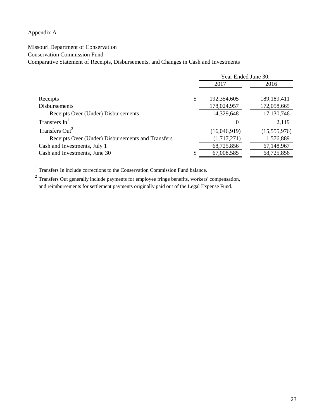#### Appendix A

#### Missouri Department of Conservation

Conservation Commission Fund

Comparative Statement of Receipts, Disbursements, and Changes in Cash and Investments

|                                                   | Year Ended June 30, |                |  |  |
|---------------------------------------------------|---------------------|----------------|--|--|
|                                                   | 2017                | 2016           |  |  |
|                                                   |                     |                |  |  |
| Receipts                                          | \$<br>192,354,605   | 189,189,411    |  |  |
| <b>Disbursements</b>                              | 178,024,957         | 172,058,665    |  |  |
| Receipts Over (Under) Disbursements               | 14,329,648          | 17,130,746     |  |  |
| Transfers In                                      | 0                   | 2,119          |  |  |
| Transfers Out <sup>2</sup>                        | (16,046,919)        | (15, 555, 976) |  |  |
| Receipts Over (Under) Disbursements and Transfers | (1,717,271)         | 1,576,889      |  |  |
| Cash and Investments, July 1                      | 68,725,856          | 67,148,967     |  |  |
| Cash and Investments, June 30                     | \$<br>67,008,585    | 68,725,856     |  |  |

 $^{\rm 1}$  Transfers In include corrections to the Conservation Commission Fund balance.

 $2$  Transfers Out generally include payments for employee fringe benefits, workers' compensation, and reimbursements for settlement payments originally paid out of the Legal Expense Fund.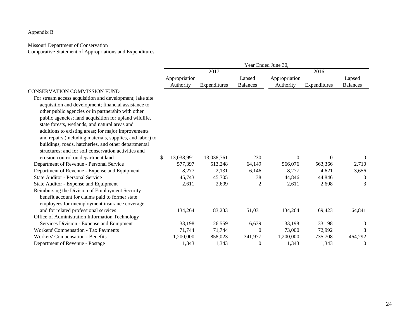#### Appendix B

#### Missouri Department of Conservation

Comparative Statement of Appropriations and Expenditures

|                                                           | Year Ended June 30, |            |              |                 |               |              |                 |  |
|-----------------------------------------------------------|---------------------|------------|--------------|-----------------|---------------|--------------|-----------------|--|
|                                                           | 2017                |            |              | 2016            |               |              |                 |  |
|                                                           | Appropriation       |            |              | Lapsed          | Appropriation |              | Lapsed          |  |
|                                                           |                     | Authority  | Expenditures | <b>Balances</b> | Authority     | Expenditures | <b>Balances</b> |  |
| <b>CONSERVATION COMMISSION FUND</b>                       |                     |            |              |                 |               |              |                 |  |
| For stream access acquisition and development; lake site  |                     |            |              |                 |               |              |                 |  |
| acquisition and development; financial assistance to      |                     |            |              |                 |               |              |                 |  |
| other public agencies or in partnership with other        |                     |            |              |                 |               |              |                 |  |
| public agencies; land acquisition for upland wildlife,    |                     |            |              |                 |               |              |                 |  |
| state forests, wetlands, and natural areas and            |                     |            |              |                 |               |              |                 |  |
| additions to existing areas; for major improvements       |                     |            |              |                 |               |              |                 |  |
| and repairs (including materials, supplies, and labor) to |                     |            |              |                 |               |              |                 |  |
| buildings, roads, hatcheries, and other departmental      |                     |            |              |                 |               |              |                 |  |
| structures; and for soil conservation activities and      |                     |            |              |                 |               |              |                 |  |
| erosion control on department land                        | \$                  | 13,038,991 | 13,038,761   | 230             | $\mathbf{0}$  | $\Omega$     | $\overline{0}$  |  |
| Department of Revenue - Personal Service                  |                     | 577,397    | 513,248      | 64,149          | 566,076       | 563,366      | 2,710           |  |
| Department of Revenue - Expense and Equipment             |                     | 8,277      | 2,131        | 6,146           | 8,277         | 4,621        | 3,656           |  |
| State Auditor - Personal Service                          |                     | 45,743     | 45,705       | 38              | 44,846        | 44,846       | $\Omega$        |  |
| State Auditor - Expense and Equipment                     |                     | 2,611      | 2,609        | 2               | 2,611         | 2,608        | 3               |  |
| Reimbursing the Division of Employment Security           |                     |            |              |                 |               |              |                 |  |
| benefit account for claims paid to former state           |                     |            |              |                 |               |              |                 |  |
| employees for unemployment insurance coverage             |                     |            |              |                 |               |              |                 |  |
| and for related professional services                     |                     | 134,264    | 83,233       | 51,031          | 134,264       | 69,423       | 64,841          |  |
| Office of Administration Information Technology           |                     |            |              |                 |               |              |                 |  |
| Services Division - Expense and Equipment                 |                     | 33,198     | 26,559       | 6,639           | 33,198        | 33,198       | $\Omega$        |  |
| <b>Workers' Compensation - Tax Payments</b>               |                     | 71,744     | 71,744       | $\Omega$        | 73,000        | 72,992       | 8               |  |
| Workers' Compensation - Benefits                          |                     | 1,200,000  | 858,023      | 341,977         | 1,200,000     | 735,708      | 464,292         |  |
| Department of Revenue - Postage                           |                     | 1,343      | 1,343        | $\theta$        | 1,343         | 1,343        | $\theta$        |  |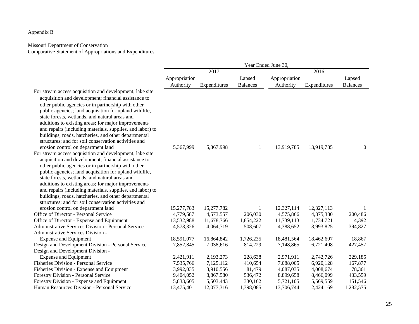#### Appendix B

#### Missouri Department of Conservation Comparative Statement of Appropriations and Expenditures

|                                                                                                                                                                                                                                                                                                                                                                                                                                                                                                                                                              | Year Ended June 30, |              |                 |               |              |                  |  |
|--------------------------------------------------------------------------------------------------------------------------------------------------------------------------------------------------------------------------------------------------------------------------------------------------------------------------------------------------------------------------------------------------------------------------------------------------------------------------------------------------------------------------------------------------------------|---------------------|--------------|-----------------|---------------|--------------|------------------|--|
|                                                                                                                                                                                                                                                                                                                                                                                                                                                                                                                                                              |                     | 2017         |                 | 2016          |              |                  |  |
|                                                                                                                                                                                                                                                                                                                                                                                                                                                                                                                                                              | Appropriation       |              | Lapsed          | Appropriation |              | Lapsed           |  |
|                                                                                                                                                                                                                                                                                                                                                                                                                                                                                                                                                              | Authority           | Expenditures | <b>Balances</b> | Authority     | Expenditures | <b>Balances</b>  |  |
| For stream access acquisition and development; lake site<br>acquisition and development; financial assistance to<br>other public agencies or in partnership with other<br>public agencies; land acquisition for upland wildlife,<br>state forests, wetlands, and natural areas and<br>additions to existing areas; for major improvements<br>and repairs (including materials, supplies, and labor) to<br>buildings, roads, hatcheries, and other departmental<br>structures; and for soil conservation activities and<br>erosion control on department land | 5,367,999           | 5,367,998    | 1               | 13,919,785    | 13,919,785   | $\boldsymbol{0}$ |  |
| For stream access acquisition and development; lake site<br>acquisition and development; financial assistance to<br>other public agencies or in partnership with other<br>public agencies; land acquisition for upland wildlife,<br>state forests, wetlands, and natural areas and<br>additions to existing areas; for major improvements<br>and repairs (including materials, supplies, and labor) to<br>buildings, roads, hatcheries, and other departmental<br>structures; and for soil conservation activities and                                       |                     |              |                 |               |              |                  |  |
| erosion control on department land                                                                                                                                                                                                                                                                                                                                                                                                                                                                                                                           | 15,277,783          | 15,277,782   | 1               | 12,327,114    | 12,327,113   | 1                |  |
| Office of Director - Personal Service                                                                                                                                                                                                                                                                                                                                                                                                                                                                                                                        | 4,779,587           | 4,573,557    | 206,030         | 4,575,866     | 4,375,380    | 200,486          |  |
| Office of Director - Expense and Equipment                                                                                                                                                                                                                                                                                                                                                                                                                                                                                                                   | 13,532,988          | 11,678,766   | 1,854,222       | 11,739,113    | 11,734,721   | 4,392            |  |
| <b>Administrative Services Division - Personal Service</b>                                                                                                                                                                                                                                                                                                                                                                                                                                                                                                   | 4,573,326           | 4,064,719    | 508,607         | 4,388,652     | 3,993,825    | 394,827          |  |
| Administrative Services Division -                                                                                                                                                                                                                                                                                                                                                                                                                                                                                                                           |                     |              |                 |               |              |                  |  |
| <b>Expense and Equipment</b>                                                                                                                                                                                                                                                                                                                                                                                                                                                                                                                                 | 18,591,077          | 16,864,842   | 1,726,235       | 18,481,564    | 18,462,697   | 18,867           |  |
| Design and Development Division - Personal Service                                                                                                                                                                                                                                                                                                                                                                                                                                                                                                           | 7,852,845           | 7,038,616    | 814,229         | 7,148,865     | 6,721,408    | 427,457          |  |
| Design and Development Division -                                                                                                                                                                                                                                                                                                                                                                                                                                                                                                                            |                     |              |                 |               |              |                  |  |
| <b>Expense and Equipment</b>                                                                                                                                                                                                                                                                                                                                                                                                                                                                                                                                 | 2,421,911           | 2,193,273    | 228,638         | 2,971,911     | 2,742,726    | 229,185          |  |
| Fisheries Division - Personal Service                                                                                                                                                                                                                                                                                                                                                                                                                                                                                                                        | 7,535,766           | 7,125,112    | 410,654         | 7,088,005     | 6,920,128    | 167,877          |  |
| Fisheries Division - Expense and Equipment                                                                                                                                                                                                                                                                                                                                                                                                                                                                                                                   | 3,992,035           | 3,910,556    | 81,479          | 4,087,035     | 4,008,674    | 78,361           |  |
| Forestry Division - Personal Service                                                                                                                                                                                                                                                                                                                                                                                                                                                                                                                         | 9,404,052           | 8,867,580    | 536,472         | 8,899,658     | 8,466,099    | 433,559          |  |
| Forestry Division - Expense and Equipment                                                                                                                                                                                                                                                                                                                                                                                                                                                                                                                    | 5,833,605           | 5,503,443    | 330,162         | 5,721,105     | 5,569,559    | 151,546          |  |
| Human Resources Division - Personal Service                                                                                                                                                                                                                                                                                                                                                                                                                                                                                                                  | 13,475,401          | 12,077,316   | 1,398,085       | 13,706,744    | 12,424,169   | 1,282,575        |  |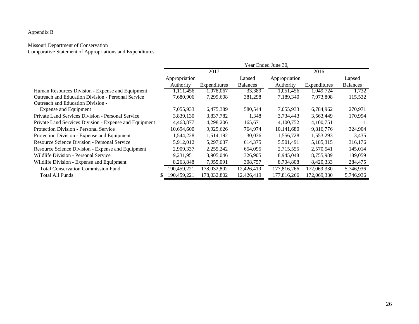#### Appendix B

#### Missouri Department of Conservation

Comparative Statement of Appropriations and Expenditures

|                                                        | Year Ended June 30, |              |                 |               |              |                 |
|--------------------------------------------------------|---------------------|--------------|-----------------|---------------|--------------|-----------------|
|                                                        |                     | 2017         |                 | 2016          |              |                 |
|                                                        | Appropriation       |              | Lapsed          | Appropriation |              | Lapsed          |
|                                                        | Authority           | Expenditures | <b>Balances</b> | Authority     | Expenditures | <b>Balances</b> |
| Human Resources Division - Expense and Equipment       | 1,111,456           | 1,078,067    | 33,389          | 1,051,456     | 1,049,724    | 1,732           |
| Outreach and Education Division - Personal Service     | 7,680,906           | 7,299,608    | 381,298         | 7,189,340     | 7,073,808    | 115,532         |
| Outreach and Education Division -                      |                     |              |                 |               |              |                 |
| <b>Expense and Equipment</b>                           | 7,055,933           | 6,475,389    | 580,544         | 7,055,933     | 6,784,962    | 270,971         |
| Private Land Services Division - Personal Service      | 3,839,130           | 3,837,782    | 1,348           | 3,734,443     | 3,563,449    | 170,994         |
| Private Land Services Division - Expense and Equipment | 4,463,877           | 4,298,206    | 165,671         | 4,100,752     | 4,100,751    |                 |
| Protection Division - Personal Service                 | 10,694,600          | 9,929,626    | 764,974         | 10,141,680    | 9,816,776    | 324,904         |
| Protection Division - Expense and Equipment            | 1,544,228           | 1,514,192    | 30,036          | 1,556,728     | 1,553,293    | 3,435           |
| Resource Science Division - Personal Service           | 5,912,012           | 5,297,637    | 614,375         | 5,501,491     | 5,185,315    | 316,176         |
| Resource Science Division - Expense and Equipment      | 2,909,337           | 2,255,242    | 654,095         | 2,715,555     | 2,570,541    | 145,014         |
| Wildlife Division - Personal Service                   | 9,231,951           | 8,905,046    | 326,905         | 8,945,048     | 8,755,989    | 189,059         |
| Wildlife Division - Expense and Equipment              | 8,263,848           | 7,955,091    | 308,757         | 8,704,808     | 8,420,333    | 284,475         |
| <b>Total Conservation Commission Fund</b>              | 190,459,221         | 178,032,802  | 12,426,419      | 177,816,266   | 172,069,330  | 5,746,936       |
| Total All Funds                                        | 190,459,221         | 178,032,802  | 12,426,419      | 177,816,266   | 172,069,330  | 5,746,936       |